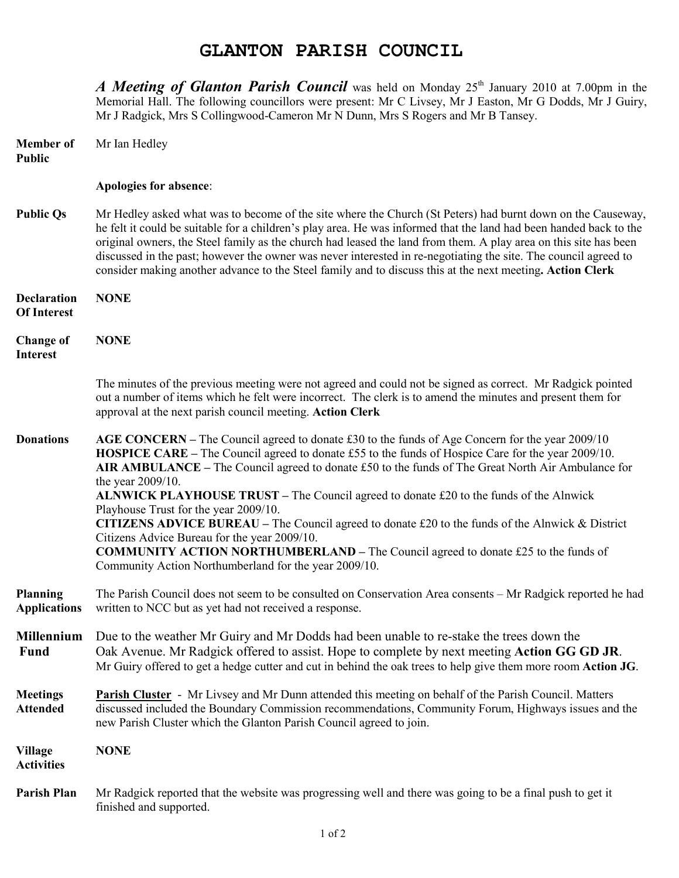## **GLANTON PARISH COUNCIL**

*A Meeting of Glanton Parish Council* was held on Monday 25<sup>th</sup> January 2010 at 7.00pm in the Memorial Hall. The following councillors were present: Mr C Livsey, Mr J Easton, Mr G Dodds, Mr J Guiry, Mr J Radgick, Mrs S Collingwood-Cameron Mr N Dunn, Mrs S Rogers and Mr B Tansey.

| <b>Member</b> of<br><b>Public</b>        | Mr Ian Hedley                                                                                                                                                                                                                                                                                                                                                                                                                                                                                                                                                                                                                                                                                                                                                                               |
|------------------------------------------|---------------------------------------------------------------------------------------------------------------------------------------------------------------------------------------------------------------------------------------------------------------------------------------------------------------------------------------------------------------------------------------------------------------------------------------------------------------------------------------------------------------------------------------------------------------------------------------------------------------------------------------------------------------------------------------------------------------------------------------------------------------------------------------------|
|                                          | Apologies for absence:                                                                                                                                                                                                                                                                                                                                                                                                                                                                                                                                                                                                                                                                                                                                                                      |
| <b>Public Qs</b>                         | Mr Hedley asked what was to become of the site where the Church (St Peters) had burnt down on the Causeway,<br>he felt it could be suitable for a children's play area. He was informed that the land had been handed back to the<br>original owners, the Steel family as the church had leased the land from them. A play area on this site has been<br>discussed in the past; however the owner was never interested in re-negotiating the site. The council agreed to<br>consider making another advance to the Steel family and to discuss this at the next meeting. Action Clerk                                                                                                                                                                                                       |
| <b>Declaration</b><br><b>Of Interest</b> | <b>NONE</b>                                                                                                                                                                                                                                                                                                                                                                                                                                                                                                                                                                                                                                                                                                                                                                                 |
| <b>Change of</b><br><b>Interest</b>      | <b>NONE</b>                                                                                                                                                                                                                                                                                                                                                                                                                                                                                                                                                                                                                                                                                                                                                                                 |
|                                          | The minutes of the previous meeting were not agreed and could not be signed as correct. Mr Radgick pointed<br>out a number of items which he felt were incorrect. The clerk is to amend the minutes and present them for<br>approval at the next parish council meeting. Action Clerk                                                                                                                                                                                                                                                                                                                                                                                                                                                                                                       |
| <b>Donations</b>                         | AGE CONCERN – The Council agreed to donate £30 to the funds of Age Concern for the year 2009/10<br><b>HOSPICE CARE</b> – The Council agreed to donate £55 to the funds of Hospice Care for the year 2009/10.<br>AIR AMBULANCE – The Council agreed to donate £50 to the funds of The Great North Air Ambulance for<br>the year 2009/10.<br><b>ALNWICK PLAYHOUSE TRUST</b> – The Council agreed to donate £20 to the funds of the Alnwick<br>Playhouse Trust for the year 2009/10.<br>CITIZENS ADVICE BUREAU - The Council agreed to donate £20 to the funds of the Alnwick & District<br>Citizens Advice Bureau for the year 2009/10.<br><b>COMMUNITY ACTION NORTHUMBERLAND - The Council agreed to donate £25 to the funds of</b><br>Community Action Northumberland for the year 2009/10. |
| <b>Planning</b><br><b>Applications</b>   | The Parish Council does not seem to be consulted on Conservation Area consents – Mr Radgick reported he had<br>written to NCC but as yet had not received a response.                                                                                                                                                                                                                                                                                                                                                                                                                                                                                                                                                                                                                       |
| <b>Millennium</b><br><b>Fund</b>         | Due to the weather Mr Guiry and Mr Dodds had been unable to re-stake the trees down the<br>Oak Avenue. Mr Radgick offered to assist. Hope to complete by next meeting Action GG GD JR.<br>Mr Guiry offered to get a hedge cutter and cut in behind the oak trees to help give them more room Action JG.                                                                                                                                                                                                                                                                                                                                                                                                                                                                                     |
| <b>Meetings</b><br><b>Attended</b>       | <b>Parish Cluster</b> - Mr Livsey and Mr Dunn attended this meeting on behalf of the Parish Council. Matters<br>discussed included the Boundary Commission recommendations, Community Forum, Highways issues and the<br>new Parish Cluster which the Glanton Parish Council agreed to join.                                                                                                                                                                                                                                                                                                                                                                                                                                                                                                 |
| <b>Village</b><br><b>Activities</b>      | <b>NONE</b>                                                                                                                                                                                                                                                                                                                                                                                                                                                                                                                                                                                                                                                                                                                                                                                 |
| <b>Parish Plan</b>                       | Mr Radgick reported that the website was progressing well and there was going to be a final push to get it<br>finished and supported.                                                                                                                                                                                                                                                                                                                                                                                                                                                                                                                                                                                                                                                       |